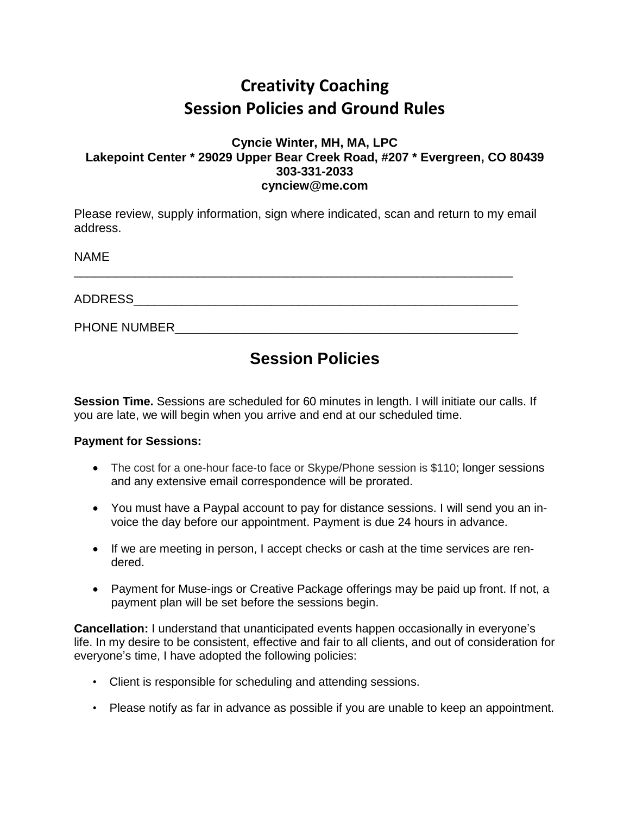# **Creativity Coaching Session Policies and Ground Rules**

#### **Cyncie Winter, MH, MA, LPC Lakepoint Center \* 29029 Upper Bear Creek Road, #207 \* Evergreen, CO 80439 303-331-2033 cynciew@me.com**

Please review, supply information, sign where indicated, scan and return to my email address.

\_\_\_\_\_\_\_\_\_\_\_\_\_\_\_\_\_\_\_\_\_\_\_\_\_\_\_\_\_\_\_\_\_\_\_\_\_\_\_\_\_\_\_\_\_\_\_\_\_\_\_\_\_\_\_\_\_\_\_\_\_\_\_\_

NAME

ADDRESS\_\_\_\_\_\_\_\_\_\_\_\_\_\_\_\_\_\_\_\_\_\_\_\_\_\_\_\_\_\_\_\_\_\_\_\_\_\_\_\_\_\_\_\_\_\_\_\_\_\_\_\_\_\_\_\_

PHONE NUMBER **All the set of the set of the set of the set of the set of the set of the set of the set of the set of the set of the set of the set of the set of the set of the set of the set of the set of the set of the se** 

### **Session Policies**

**Session Time.** Sessions are scheduled for 60 minutes in length. I will initiate our calls. If you are late, we will begin when you arrive and end at our scheduled time.

### **Payment for Sessions:**

- The cost for a one-hour face-to face or Skype/Phone session is \$110; longer sessions and any extensive email correspondence will be prorated.
- You must have a Paypal account to pay for distance sessions. I will send you an invoice the day before our appointment. Payment is due 24 hours in advance.
- If we are meeting in person, I accept checks or cash at the time services are rendered.
- Payment for Muse-ings or Creative Package offerings may be paid up front. If not, a payment plan will be set before the sessions begin.

**Cancellation:** I understand that unanticipated events happen occasionally in everyone's life. In my desire to be consistent, effective and fair to all clients, and out of consideration for everyone's time, I have adopted the following policies:

- Client is responsible for scheduling and attending sessions.
- Please notify as far in advance as possible if you are unable to keep an appointment.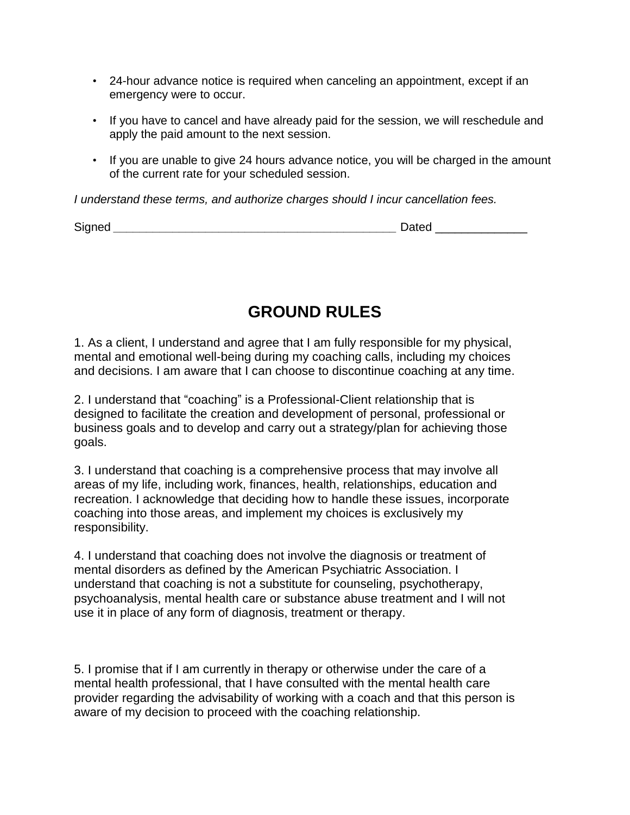- 24-hour advance notice is required when canceling an appointment, except if an emergency were to occur.
- If you have to cancel and have already paid for the session, we will reschedule and apply the paid amount to the next session.
- If you are unable to give 24 hours advance notice, you will be charged in the amount of the current rate for your scheduled session.

*I understand these terms, and authorize charges should I incur cancellation fees.*

Signed **and a structure of the structure of the Signed Dated Dated**  $\Box$ 

## **GROUND RULES**

1. As a client, I understand and agree that I am fully responsible for my physical, mental and emotional well-being during my coaching calls, including my choices and decisions. I am aware that I can choose to discontinue coaching at any time.

2. I understand that "coaching" is a Professional-Client relationship that is designed to facilitate the creation and development of personal, professional or business goals and to develop and carry out a strategy/plan for achieving those goals.

3. I understand that coaching is a comprehensive process that may involve all areas of my life, including work, finances, health, relationships, education and recreation. I acknowledge that deciding how to handle these issues, incorporate coaching into those areas, and implement my choices is exclusively my responsibility.

4. I understand that coaching does not involve the diagnosis or treatment of mental disorders as defined by the American Psychiatric Association. I understand that coaching is not a substitute for counseling, psychotherapy, psychoanalysis, mental health care or substance abuse treatment and I will not use it in place of any form of diagnosis, treatment or therapy.

5. I promise that if I am currently in therapy or otherwise under the care of a mental health professional, that I have consulted with the mental health care provider regarding the advisability of working with a coach and that this person is aware of my decision to proceed with the coaching relationship.